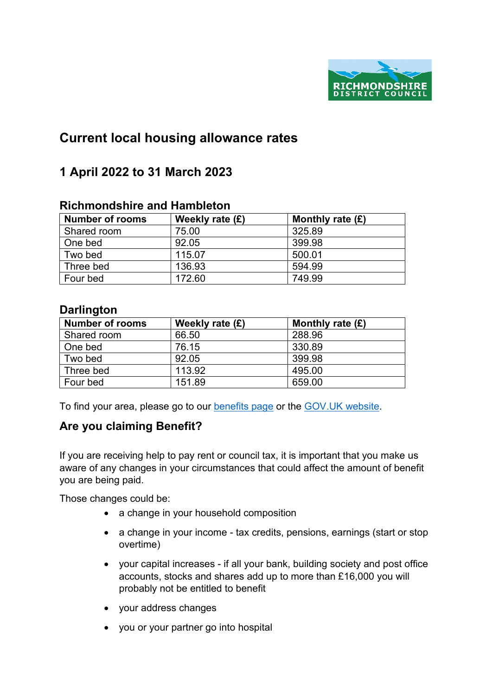

# **Current local housing allowance rates**

## **1 April 2022 to 31 March 2023**

#### **Richmondshire and Hambleton**

| <b>Number of rooms</b> | Weekly rate $(E)$ | Monthly rate $(E)$ |
|------------------------|-------------------|--------------------|
| Shared room            | 75.00             | 325.89             |
| One bed                | 92.05             | 399.98             |
| Two bed                | 115.07            | 500.01             |
| Three bed              | 136.93            | 594.99             |
| Four bed               | 172.60            | 749.99             |

#### **Darlington**

| <b>Number of rooms</b> | Weekly rate $(E)$ | Monthly rate $(E)$ |
|------------------------|-------------------|--------------------|
| Shared room            | 66.50             | 288.96             |
| One bed                | 76.15             | 330.89             |
| Two bed                | 92.05             | 399.98             |
| l Three bed            | 113.92            | 495.00             |
| Four bed               | 151.89            | 659.00             |

To find your area, please go to our [benefits page](https://www.richmondshire.gov.uk/benefits) or the [GOV.UK website.](https://www.gov.uk/)

### **Are you claiming Benefit?**

If you are receiving help to pay rent or council tax, it is important that you make us aware of any changes in your circumstances that could affect the amount of benefit you are being paid.

Those changes could be:

- a change in your household composition
- a change in your income tax credits, pensions, earnings (start or stop overtime)
- your capital increases if all your bank, building society and post office accounts, stocks and shares add up to more than £16,000 you will probably not be entitled to benefit
- your address changes
- you or your partner go into hospital